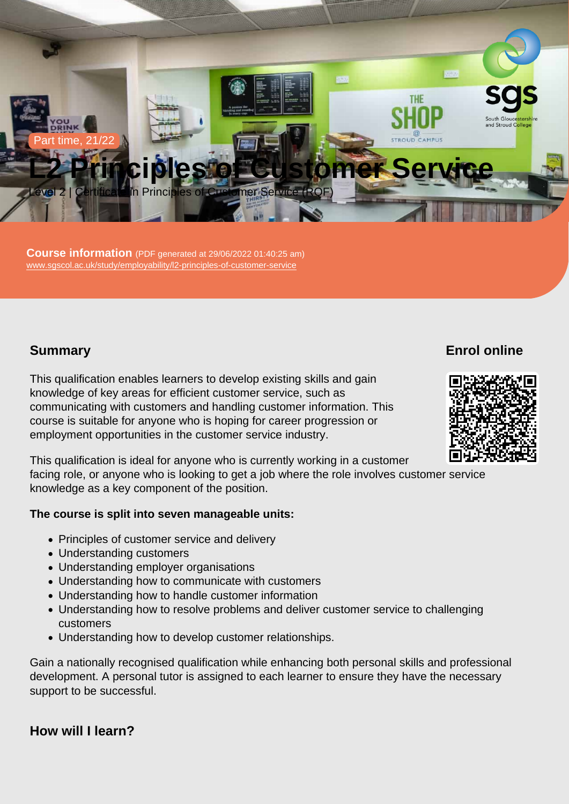Part time, 21/22

# L2 Principles of Customer Service

Level 2 | Certificate in Principles of Customer Service (RQF)

Course information (PDF generated at 29/06/2022 01:40:25 am) [www.sgscol.ac.uk/study/employability/l2-principles-of-customer-service](https://www.sgscol.ac.uk/study/employability/l2-principles-of-customer-service)

## **Summary**

Enrol online

This qualification enables learners to develop existing skills and gain knowledge of key areas for efficient customer service, such as communicating with customers and handling customer information. This course is suitable for anyone who is hoping for career progression or employment opportunities in the customer service industry.

This qualification is ideal for anyone who is currently working in a customer facing role, or anyone who is looking to get a job where the role involves customer service knowledge as a key component of the position.

The course is split into seven manageable units:

- Principles of customer service and delivery
- Understanding customers
- Understanding employer organisations
- Understanding how to communicate with customers
- Understanding how to handle customer information
- Understanding how to resolve problems and deliver customer service to challenging customers
- Understanding how to develop customer relationships.

Gain a nationally recognised qualification while enhancing both personal skills and professional development. A personal tutor is assigned to each learner to ensure they have the necessary support to be successful.

How will I learn?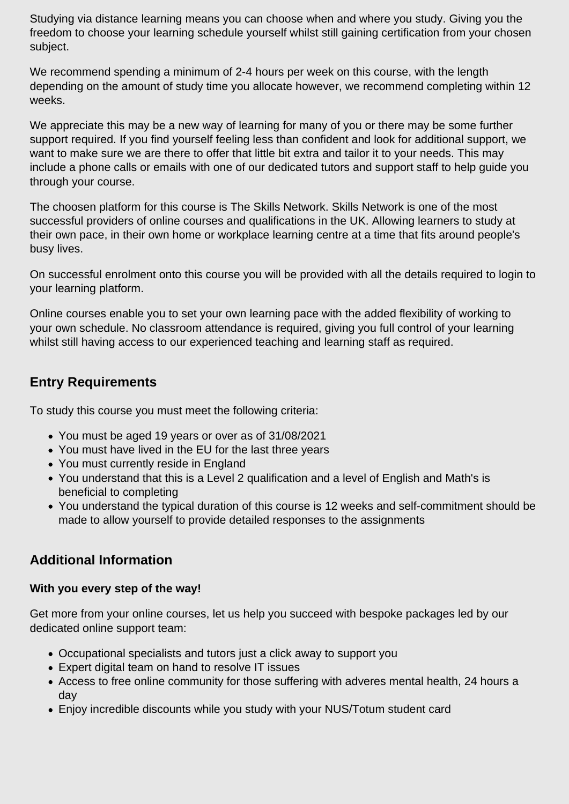Studying via distance learning means you can choose when and where you study. Giving you the freedom to choose your learning schedule yourself whilst still gaining certification from your chosen subject.

We recommend spending a minimum of 2-4 hours per week on this course, with the length depending on the amount of study time you allocate however, we recommend completing within 12 weeks.

We appreciate this may be a new way of learning for many of you or there may be some further support required. If you find yourself feeling less than confident and look for additional support, we want to make sure we are there to offer that little bit extra and tailor it to your needs. This may include a phone calls or emails with one of our dedicated tutors and support staff to help guide you through your course.

The choosen platform for this course is The Skills Network. Skills Network is one of the most successful providers of online courses and qualifications in the UK. Allowing learners to study at their own pace, in their own home or workplace learning centre at a time that fits around people's busy lives.

On successful enrolment onto this course you will be provided with all the details required to login to your learning platform.

Online courses enable you to set your own learning pace with the added flexibility of working to your own schedule. No classroom attendance is required, giving you full control of your learning whilst still having access to our experienced teaching and learning staff as required.

## **Entry Requirements**

To study this course you must meet the following criteria:

- You must be aged 19 years or over as of 31/08/2021
- You must have lived in the EU for the last three years
- You must currently reside in England
- You understand that this is a Level 2 qualification and a level of English and Math's is beneficial to completing
- You understand the typical duration of this course is 12 weeks and self-commitment should be made to allow yourself to provide detailed responses to the assignments

# **Additional Information**

### **With you every step of the way!**

Get more from your online courses, let us help you succeed with bespoke packages led by our dedicated online support team:

- Occupational specialists and tutors just a click away to support you
- Expert digital team on hand to resolve IT issues
- Access to free online community for those suffering with adveres mental health, 24 hours a day
- Enjoy incredible discounts while you study with your NUS/Totum student card